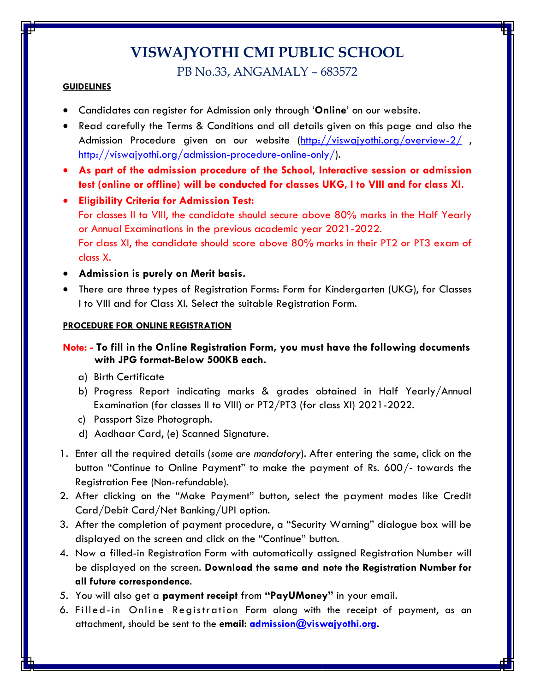# **VISWAJYOTHI CMI PUBLIC SCHOOL**

PB No.33, ANGAMALY – 683572

## **GUIDELINES**

- Candidates can register for Admission only through '**Online**' on our website.
- Read carefully the Terms & Conditions and all details given on this page and also the Admission Procedure given on our website [\(http://viswajyothi.org/overview-2/](http://viswajyothi.org/overview-2/), [http://viswajyothi.org/admission-procedure-online-only/\)](http://viswajyothi.org/admission-procedure-online-only/).
- **As part of the admission procedure of the School, Interactive session or admission test (online or offline) will be conducted for classes UKG, I to VIII and for class XI.**
- **Eligibility Criteria for Admission Test:** For classes II to VIII, the candidate should secure above 80% marks in the Half Yearly or Annual Examinations in the previous academic year 2021-2022. For class XI, the candidate should score above 80% marks in their PT2 or PT3 exam of class X.
- **Admission is purely on Merit basis.**
- There are three types of Registration Forms: Form for Kindergarten (UKG), for Classes I to VIII and for Class XI. Select the suitable Registration Form.

#### **PROCEDURE FOR ONLINE REGISTRATION**

# **Note: - To fill in the Online Registration Form, you must have the following documents with JPG format-Below 500KB each.**

- a) Birth Certificate
- b) Progress Report indicating marks & grades obtained in Half Yearly/Annual Examination (for classes II to VIII) or PT2/PT3 (for class XI) 2021-2022.
- c) Passport Size Photograph.
- d) Aadhaar Card, (e) Scanned Signature.
- 1. Enter all the required details (*some are mandatory*). After entering the same, click on the button "Continue to Online Payment" to make the payment of Rs. 600/- towards the Registration Fee (Non-refundable).
- 2. After clicking on the "Make Payment" button, select the payment modes like Credit Card/Debit Card/Net Banking/UPI option.
- 3. After the completion of payment procedure, a "Security Warning" dialogue box will be displayed on the screen and click on the "Continue" button.
- 4. Now a filled-in Registration Form with automatically assigned Registration Number will be displayed on the screen. **Download the same and note the Registration Number for all future correspondence**.
- 5. You will also get a **payment receipt** from **"PayUMoney"** in your email.
- 6. Filled-in Online Registration Form along with the receipt of payment, as an attachment, should be sent to the **email: [admission@viswajyothi.org.](mailto:admission@viswajyothi.org)**